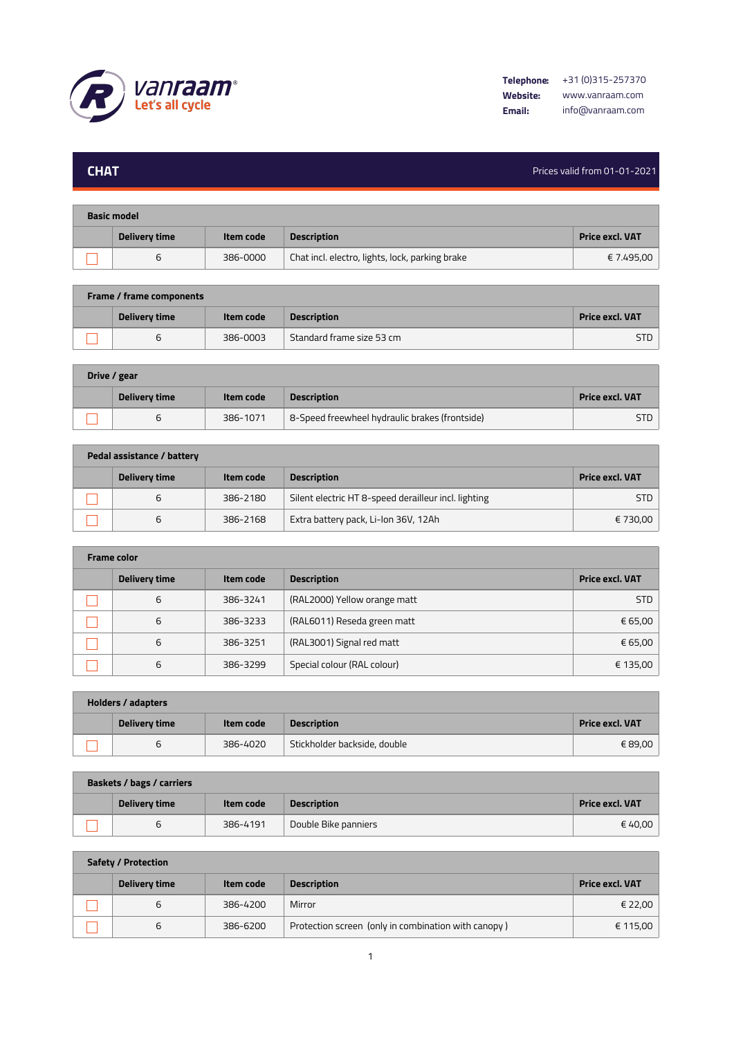

**Contract Contract** 

## **CHAT** Prices valid from 01-01-2021

m.

| <b>Basic model</b> |                      |           |                                                 |                 |  |
|--------------------|----------------------|-----------|-------------------------------------------------|-----------------|--|
|                    | <b>Delivery time</b> | Item code | <b>Description</b>                              | Price excl. VAT |  |
|                    | ь                    | 386-0000  | Chat incl. electro, lights, lock, parking brake | € 7.495,00      |  |

| <b>Frame / frame components</b> |               |           |                           |                        |  |
|---------------------------------|---------------|-----------|---------------------------|------------------------|--|
|                                 | Delivery time | Item code | <b>Description</b>        | <b>Price excl. VAT</b> |  |
|                                 |               | 386-0003  | Standard frame size 53 cm | <b>STD</b>             |  |

| Drive / gear |               |           |                                                |                        |  |  |
|--------------|---------------|-----------|------------------------------------------------|------------------------|--|--|
|              | Delivery time | Item code | <b>Description</b>                             | <b>Price excl. VAT</b> |  |  |
|              |               | 386-1071  | 8-Speed freewheel hydraulic brakes (frontside) | STD                    |  |  |

| Pedal assistance / battery |               |           |                                                      |                 |  |  |
|----------------------------|---------------|-----------|------------------------------------------------------|-----------------|--|--|
|                            | Delivery time | Item code | <b>Description</b>                                   | Price excl. VAT |  |  |
|                            | ь             | 386-2180  | Silent electric HT 8-speed derailleur incl. lighting | <b>STD</b>      |  |  |
|                            | ь             | 386-2168  | Extra battery pack, Li-Ion 36V, 12Ah                 | € 730,00        |  |  |

| <b>Frame color</b> |               |           |                              |                        |  |  |
|--------------------|---------------|-----------|------------------------------|------------------------|--|--|
|                    | Delivery time | Item code | <b>Description</b>           | <b>Price excl. VAT</b> |  |  |
|                    | 6             | 386-3241  | (RAL2000) Yellow orange matt | <b>STD</b>             |  |  |
|                    | 6             | 386-3233  | (RAL6011) Reseda green matt  | € 65,00                |  |  |
|                    | 6             | 386-3251  | (RAL3001) Signal red matt    | € 65,00                |  |  |
|                    | 6             | 386-3299  | Special colour (RAL colour)  | € 135,00               |  |  |

| <b>Holders / adapters</b> |               |           |                              |                 |  |  |
|---------------------------|---------------|-----------|------------------------------|-----------------|--|--|
|                           | Delivery time | Item code | <b>Description</b>           | Price excl. VAT |  |  |
|                           | ь             | 386-4020  | Stickholder backside, double | € 89,00         |  |  |

| Baskets / bags / carriers |               |           |                      |                 |  |  |
|---------------------------|---------------|-----------|----------------------|-----------------|--|--|
|                           | Delivery time | Item code | <b>Description</b>   | Price excl. VAT |  |  |
|                           | b             | 386-4191  | Double Bike panniers | € 40.00         |  |  |

**Safety / Protection**

| Delivery time | Item code | <b>Description</b>                                  | <b>Price excl. VAT</b> |
|---------------|-----------|-----------------------------------------------------|------------------------|
|               | 386-4200  | Mirror                                              | € 22,00                |
| O             | 386-6200  | Protection screen (only in combination with canopy) | € 115,00               |